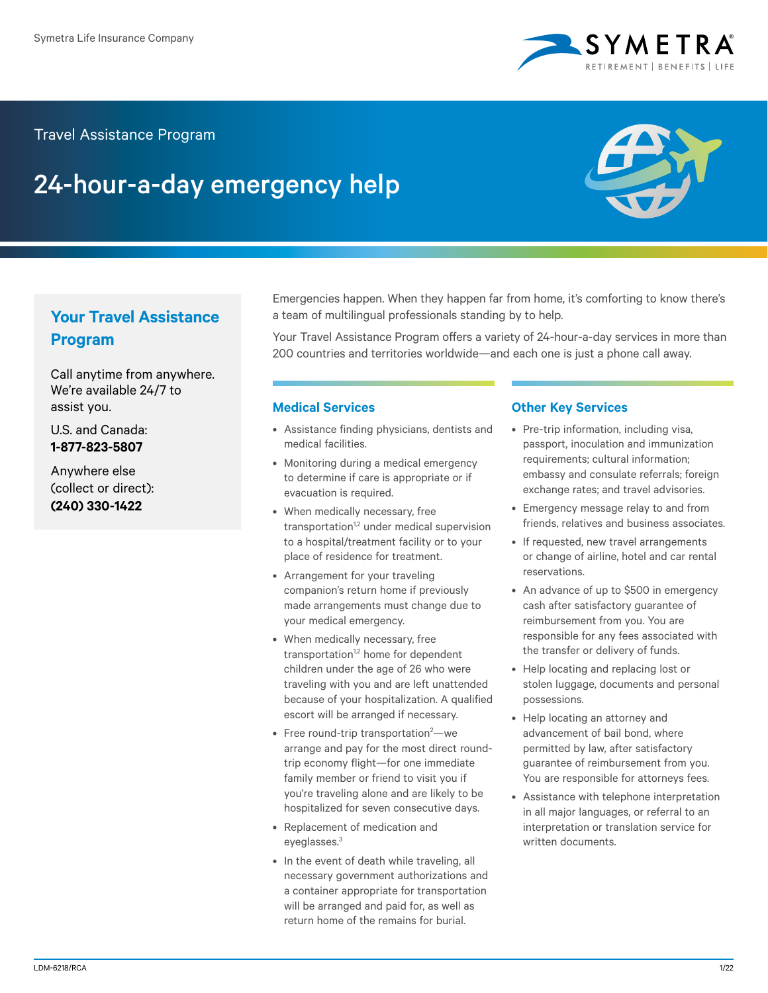

### Travel Assistance Program

# 24-hour-a-day emergency help



## **Your Travel Assistance Program**

Call anytime from anywhere. We're available 24/7 to assist you.

U.S. and Canada: **1-877-823-5807**

Anywhere else (collect or direct): **(240) 330-1422**

Emergencies happen. When they happen far from home, it's comforting to know there's a team of multilingual professionals standing by to help.

Your Travel Assistance Program offers a variety of 24-hour-a-day services in more than 200 countries and territories worldwide—and each one is just a phone call away.

#### **Medical Services**

- Assistance finding physicians, dentists and medical facilities.
- Monitoring during a medical emergency to determine if care is appropriate or if evacuation is required.
- When medically necessary, free transportation<sup>1,2</sup> under medical supervision to a hospital/treatment facility or to your place of residence for treatment.
- Arrangement for your traveling companion's return home if previously made arrangements must change due to your medical emergency.
- When medically necessary, free transportation<sup>1,2</sup> home for dependent children under the age of 26 who were traveling with you and are left unattended because of your hospitalization. A qualified escort will be arranged if necessary.
- $\bullet$  Free round-trip transportation<sup>2</sup>—we arrange and pay for the most direct roundtrip economy flight—for one immediate family member or friend to visit you if you're traveling alone and are likely to be hospitalized for seven consecutive days.
- Replacement of medication and eyeglasses.3
- In the event of death while traveling, all necessary government authorizations and a container appropriate for transportation will be arranged and paid for, as well as return home of the remains for burial.

#### **Other Key Services**

- Pre-trip information, including visa, passport, inoculation and immunization requirements; cultural information; embassy and consulate referrals; foreign exchange rates; and travel advisories.
- Emergency message relay to and from friends, relatives and business associates.
- If requested, new travel arrangements or change of airline, hotel and car rental reservations.
- An advance of up to \$500 in emergency cash after satisfactory guarantee of reimbursement from you. You are responsible for any fees associated with the transfer or delivery of funds.
- Help locating and replacing lost or stolen luggage, documents and personal possessions.
- Help locating an attorney and advancement of bail bond, where permitted by law, after satisfactory guarantee of reimbursement from you. You are responsible for attorneys fees.
- Assistance with telephone interpretation in all major languages, or referral to an interpretation or translation service for written documents.